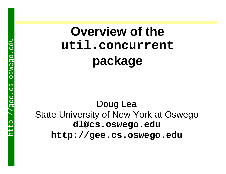### **Overview of the util.concurrent package**

Doug Lea State University of New York at Oswego **dl@cs.oswego.edu http://gee.cs.oswego.edu**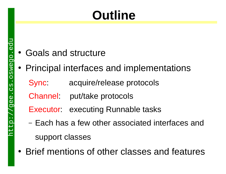# **Outline**

- $\bullet$ Goals and structure
- Principal interfaces and implementations
	- Sync: acquire/release protocols
	- Channel: put/take protocols
	- Executor: executing Runnable tasks
	- –– Each has a few other associated interfaces and support classes
- Brief mentions of other classes and features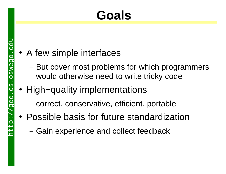# **Goals**

- A few simple interfaces
	- –- But cover most problems for which programmers would otherwise need to write tricky code
- " High−quality implementations
	- –- correct, conservative, efficient, portable
- Possible basis for future standardization
	- –- Gain experience and collect feedback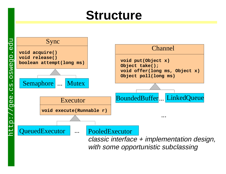#### **Structure**

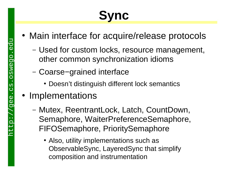# **Sync**

- Main interface for acquire/release protocols
	- **Links of the Company**  Used for custom locks, resource management, other common synchronization idioms
	- **Links of the Company**  Coarse−grained interface
		- Doesn't distinguish different lock semantics
- Implementations
	- **Links of the Company**  Mutex, ReentrantLock, Latch, CountDown, Semaphore, WaiterPreferenceSemaphore, FIFOSemaphore, PrioritySemaphore
		- Also, utility implementations such as ObservableSync, LayeredSync that simplify composition and instrumentation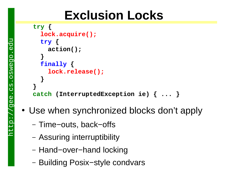### **Exclusion Locks**

```
try {
   lock.acquire();
   try { 
      action(); 
 }
   finally { 
     lock.release(); 
    }
 }
catch (InterruptedException ie) { ... }
```
- Use when synchronized blocks don't apply
	- − Time–outs, back–offs
	- Assuring interruptibility
	- Hand−over−hand locking
	- Building Posix−style condvars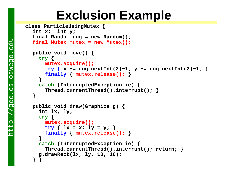#### **Exclusion Example**

```
 class ParticleUsingMutex {
   int x; int y;
   final Random rng = new Random();
  final Mutex mutex = new Mutex(); 
   public void move() {
    try {
      mutex.acquire();
      try { x += rng.nextInt(2)−1; y += rng.nextInt(2)−1; }
      finally { mutex.release(); }
 }
    catch (InterruptedException ie) {
       Thread.currentThread().interrupt(); }
 }
   public void draw(Graphics g) {
     int lx, ly;
    try {
      mutex.acquire();
      try { lx = x; ly = y; }
      finally { mutex.release(); }
     }
    catch (InterruptedException ie) {
       Thread.currentThread().interrupt(); return; }
     g.drawRect(lx, ly, 10, 10); 
 } }
```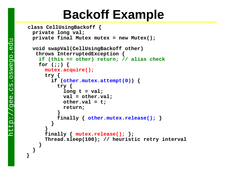#### **Backoff Example**

```
 class CellUsingBackoff {
  private long val;
  private final Mutex mutex = new Mutex();
  void swapVal(CellUsingBackoff other) 
   throws InterruptedException {
   if (this == other) return; // alias check
    for (;;) {
     mutex.acquire();
      try {
         if (other.mutex.attempt(0)) {
           try {
            long t = val; val = other.val; 
             other.val = t;
             return;
 }
           finally { other.mutex.release(); }
 }
 }
      finally { mutex.release(); };
      Thread.sleep(100); // heuristic retry interval
 }
   }
```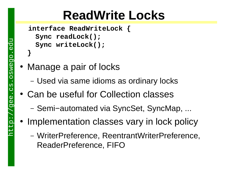### **ReadWrite Locks**

```
 interface ReadWriteLock {
  Sync readLock();
  Sync writeLock();
}
```
- Manage a pair of locks
	- Used via same idioms as ordinary locks
- Can be useful for Collection classes
	- Semi−automated via SyncSet, SyncMap, ...
- Implementation classes vary in lock policy
	- WriterPreference, ReentrantWriterPreference, ReaderPreference, FIFO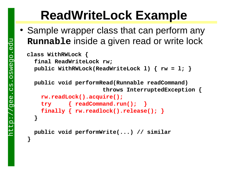### **ReadWriteLock Example**

• Sample wrapper class that can perform any **Runnable** inside a given read or write lock

```
 class WithRWLock {
   final ReadWriteLock rw;
   public WithRWLock(ReadWriteLock l) { rw = l; }
```
 **public void performRead(Runnable readCommand) throws InterruptedException {**

```
rw.readLock().acquire();
    try { readCommand.run(); }
    finally { rw.readlock().release(); }
 }
```

```
 public void performWrite(...) // similar
```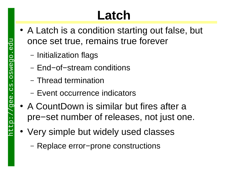# **Latch**

- A Latch is a condition starting out false, but once set true, remains true forever
	- Initialization flags
	- End−of−stream conditions
	- Thread termination
	- Event occurrence indicators
- A CountDown is similar but fires after a pre−set number of releases, not just one.
- Very simple but widely used classes
	- Replace error−prone constructions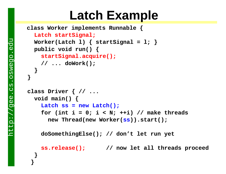#### **Latch Example**

```
 class Worker implements Runnable {
  Latch startSignal;
  Worker(Latch 1) { <i>startSignal = 1; }</i> } public void run() {
    startSignal.acquire();
     // ... doWork();
 }
}
class Driver { // ...
   void main() {
    Latch ss = new Latch();
     for (int i = 0; i < N; ++i) // make threads
       new Thread(new Worker(ss)).start();
     doSomethingElse(); // don't let run yet
    ss.release(); // now let all threads proceed
 }
 }
```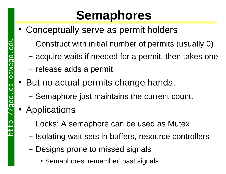### **Semaphores**

- Conceptually serve as permit holders
	- –Construct with initial number of permits (usually 0)
	- –acquire waits if needed for a permit, then takes one
	- –– release adds a permit
- But no actual permits change hands.
	- –- Semaphore just maintains the current count.
- Applications
	- –– Locks: A semaphore can be used as Mutex
	- –- Isolating wait sets in buffers, resource controllers
	- –– Designs prone to missed signals
		- Semaphores 'remember' past signals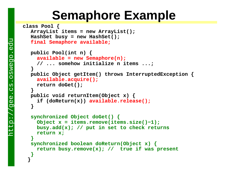#### **Semaphore Example**

```
class Pool {
   ArrayList items = new ArrayList();
   HashSet busy = new HashSet();
  final Semaphore available;
   public Pool(int n) {
    available = new Semaphore(n);
     // ... somehow initialize n items ...; 
  }
   public Object getItem() throws InterruptedException {
    available.acquire();
     return doGet();
  }
   public void returnItem(Object x) {
     if (doReturn(x)) available.release();
    }
  synchronized Object doGet() {
     Object x = items.remove(items.size()−1);
     busy.add(x); // put in set to check returns
     return x;
    }
   synchronized boolean doReturn(Object x) {
     return busy.remove(x); // true if was present
  }
  }
```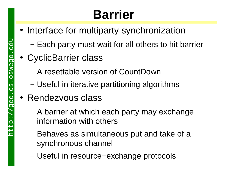# **Barrier**

- Interface for multiparty synchronization
	- Each party must wait for all others to hit barrier
- CyclicBarrier class
	- A resettable version of CountDown
	- Useful in iterative partitioning algorithms
- Rendezvous class
	- A barrier at which each party may exchange information with others
	- Behaves as simultaneous put and take of a synchronous channel
	- Useful in resource−exchange protocols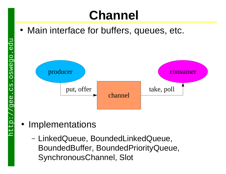# **Channel**

• Main interface for buffers, queues, etc.



- Implementations
	- LinkedQueue, BoundedLinkedQueue, BoundedBuffer, BoundedPriorityQueue, SynchronousChannel, Slot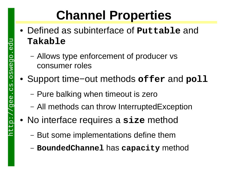# **Channel Properties**

- " Defined as subinterface of **Puttable** and **Takable**
	- Allows type enforcement of producer vs consumer roles
- $\bullet$  Support time−out methods **offer** and **poll**
	- Pure balking when timeout is zero
	- All methods can throw InterruptedException
- $\bullet$  No interface requires a **size** method
	- But some implementations define them
	- **BoundedChannel** has **capacity** method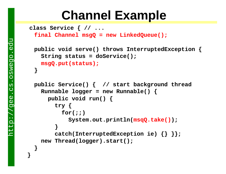#### **Channel Example**

```
 class Service { // ...
 final Channel msgQ = new LinkedQueue();
  public void serve() throws InterruptedException {
     String status = doService();
   msgQ.put(status);
   }
  public Service() { // start background thread 
    Runnable logger = new Runnable() {
      public void run() {
         try {
           for(;;)
             System.out.println(msqQ.take());
 }
         catch(InterruptedException ie) {} }};
    new Thread(logger).start();
 }
```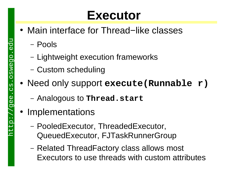#### **Executor**

- Main interface for Thread–like classes
	- Pools
	- Lightweight execution frameworks
	- Custom scheduling
- $\bullet$  Need only support **execute(Runnable r)**
	- Analogous to **Thread.start**
- Implementations
	- PooledExecutor, ThreadedExecutor, QueuedExecutor, FJTaskRunnerGroup
	- Related ThreadFactory class allows most Executors to use threads with custom attributes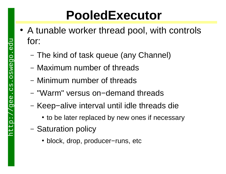### **PooledExecutor**

- A tunable worker thread pool, with controls for:
	- The kind of task queue (any Channel)
	- Maximum number of threads
	- Minimum number of threads
	- "Warm" versus on−demand threads
	- Keep−alive interval until idle threads die
		- to be later replaced by new ones if necessary
	- Saturation policy
		- " block, drop, producer−runs, etc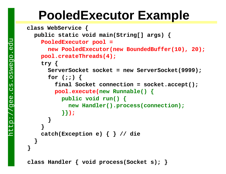#### **PooledExecutor Example**

```
 class WebService { 
   public static void main(String[] args) {
    PooledExecutor pool = 
       new PooledExecutor(new BoundedBuffer(10), 20);
     pool.createThreads(4);
     try {
       ServerSocket socket = new ServerSocket(9999);
       for (;;) {
         final Socket connection = socket.accept();
        pool.execute(new Runnable() {
           public void run() {
             new Handler().process(connection);
           }});
 }
 }
     catch(Exception e) { } // die
 }
}
```
**class Handler { void process(Socket s); }**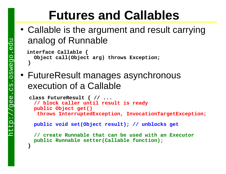### **Futures and Callables**

• Callable is the argument and result carrying analog of Runnable

```
 interface Callable {
   Object call(Object arg) throws Exception;
}
```
• FutureResult manages asynchronous execution of a Callable

```
 class FutureResult { // ...
 // block caller until result is ready
  public Object get() 
   throws InterruptedException, InvocationTargetException;
```
**public void set(Object result); // unblocks get**

**// create Runnable that can be used with an Executor public Runnable setter(Callable function);**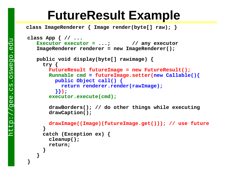#### **FutureResult Example**

 **class ImageRenderer { Image render(byte[] raw); }**

```
class App { // ...
   Executor executor = ...; // any executor
    ImageRenderer renderer = new ImageRenderer();
    public void display(byte[] rawimage) {
      try {
       FutureResult futureImage = new FutureResult();
        Runnable cmd = futureImage.setter(new Callable(){
          public Object call() { 
            return renderer.render(rawImage); 
          }});
       executor.execute(cmd);
        drawBorders(); // do other things while executing
        drawCaption();
       drawImage((Image)(futureImage.get())); // use future
 }
      catch (Exception ex) { 
        cleanup(); 
        return; 
 }
 }
```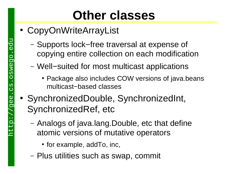### **Other classes**

- CopyOnWriteArrayList
	- Supports lock−free traversal at expense of copying entire collection on each modification
	- Well−suited for most multicast applications
		- Package also includes COW versions of java.beans multicast−based classes
- " SynchronizedDouble, SynchronizedInt, SynchronizedRef, etc
	- Analogs of java.lang.Double, etc that define atomic versions of mutative operators
		- $\bullet$  for example, addTo, inc,
	- Plus utilities such as swap, commit